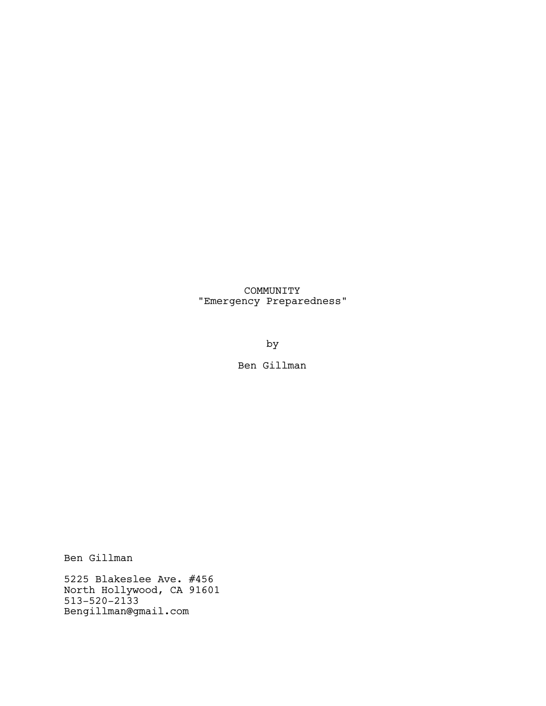# COMMUNITY "Emergency Preparedness"

by

Ben Gillman

Ben Gillman

5225 Blakeslee Ave. #456 North Hollywood, CA 91601 513-520-2133 Bengillman@gmail.com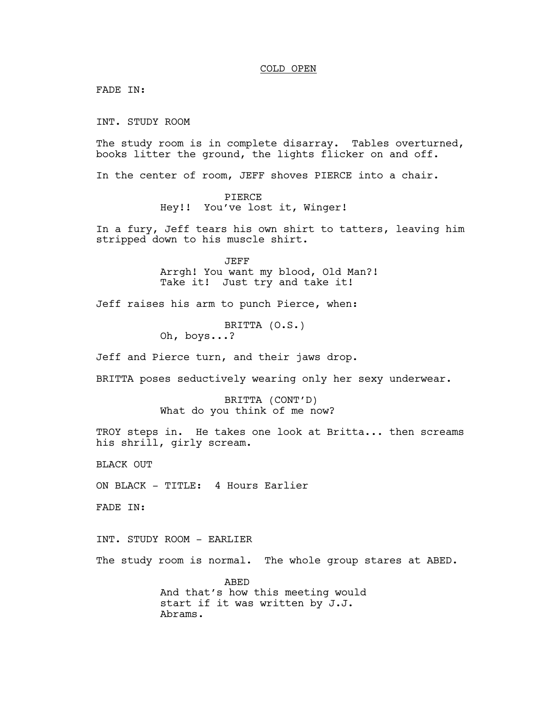#### COLD OPEN

FADE IN:

INT. STUDY ROOM

The study room is in complete disarray. Tables overturned, books litter the ground, the lights flicker on and off.

In the center of room, JEFF shoves PIERCE into a chair.

PIERCE Hey!! You've lost it, Winger!

In a fury, Jeff tears his own shirt to tatters, leaving him stripped down to his muscle shirt.

> JEFF Arrgh! You want my blood, Old Man?! Take it! Just try and take it!

Jeff raises his arm to punch Pierce, when:

BRITTA (O.S.) Oh, boys...?

Jeff and Pierce turn, and their jaws drop.

BRITTA poses seductively wearing only her sexy underwear.

BRITTA (CONT'D) What do you think of me now?

TROY steps in. He takes one look at Britta... then screams his shrill, girly scream.

BLACK OUT

ON BLACK - TITLE: 4 Hours Earlier

FADE IN:

INT. STUDY ROOM - EARLIER

The study room is normal. The whole group stares at ABED.

ABED And that's how this meeting would start if it was written by J.J. Abrams.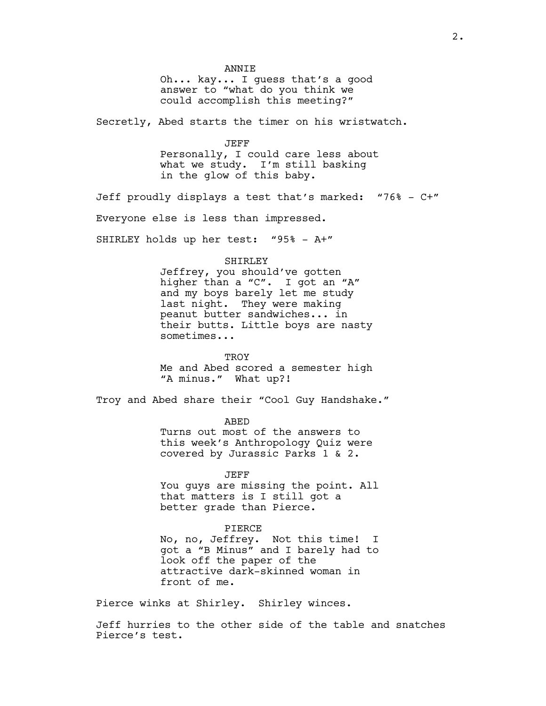ANNIE

Oh... kay... I guess that's a good answer to "what do you think we could accomplish this meeting?"

Secretly, Abed starts the timer on his wristwatch.

JEFF Personally, I could care less about what we study. I'm still basking in the glow of this baby.

Jeff proudly displays a test that's marked: "76% - C+" Everyone else is less than impressed. SHIRLEY holds up her test: "95% - A+"

#### SHIRLEY

Jeffrey, you should've gotten higher than a "C". I got an "A" and my boys barely let me study last night. They were making peanut butter sandwiches... in their butts. Little boys are nasty sometimes...

TROY Me and Abed scored a semester high "A minus." What up?!

Troy and Abed share their "Cool Guy Handshake."

ABED Turns out most of the answers to this week's Anthropology Quiz were covered by Jurassic Parks 1 & 2.

JEFF You guys are missing the point. All that matters is I still got a better grade than Pierce.

#### PIERCE

No, no, Jeffrey. Not this time! I got a "B Minus" and I barely had to look off the paper of the attractive dark-skinned woman in front of me.

Pierce winks at Shirley. Shirley winces.

Jeff hurries to the other side of the table and snatches Pierce's test.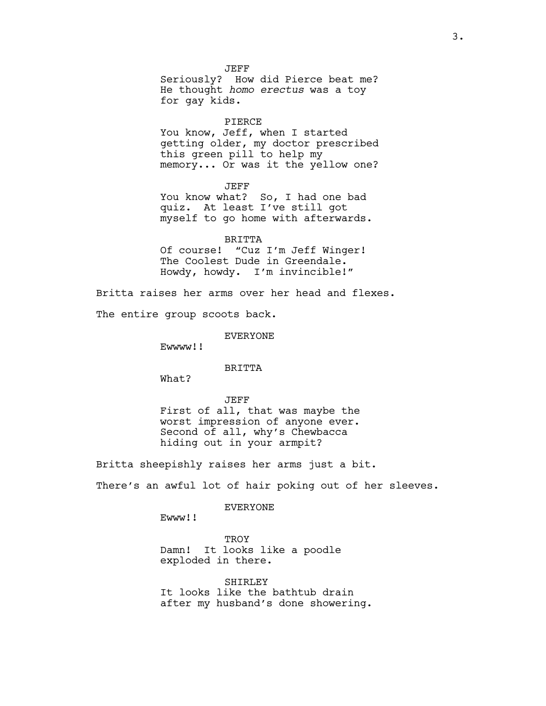JEFF Seriously? How did Pierce beat me? He thought *homo erectus* was a toy for gay kids.

#### PIERCE

You know, Jeff, when I started getting older, my doctor prescribed this green pill to help my memory... Or was it the yellow one?

JEFF

You know what? So, I had one bad quiz. At least I've still got myself to go home with afterwards.

#### BRITTA

Of course! "Cuz I'm Jeff Winger! The Coolest Dude in Greendale. Howdy, howdy. I'm invincible!"

Britta raises her arms over her head and flexes.

The entire group scoots back.

EVERYONE

Ewwww!!

## BRITTA

What?

JEFF First of all, that was maybe the worst impression of anyone ever. Second of all, why's Chewbacca hiding out in your armpit?

Britta sheepishly raises her arms just a bit.

There's an awful lot of hair poking out of her sleeves.

### **EVERYONE**

Ewww!!

**TROY** Damn! It looks like a poodle exploded in there.

**SHIRLEY** It looks like the bathtub drain after my husband's done showering.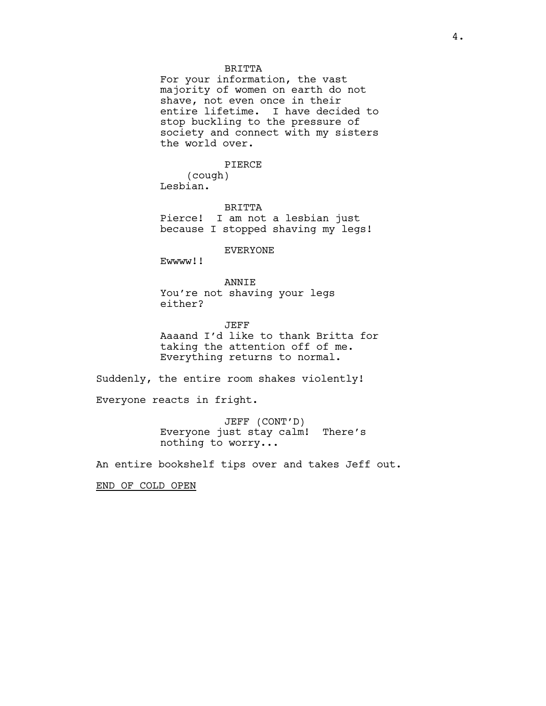#### BRITTA

For your information, the vast majority of women on earth do not shave, not even once in their entire lifetime. I have decided to stop buckling to the pressure of society and connect with my sisters the world over.

#### PIERCE

(cough) Lesbian.

BRITTA Pierce! I am not a lesbian just

because I stopped shaving my legs!

EVERYONE

Ewwww!!

ANNIE You're not shaving your legs either?

JEFF Aaaand I'd like to thank Britta for taking the attention off of me. Everything returns to normal.

Suddenly, the entire room shakes violently!

Everyone reacts in fright.

JEFF (CONT'D) Everyone just stay calm! There's nothing to worry...

An entire bookshelf tips over and takes Jeff out.

END OF COLD OPEN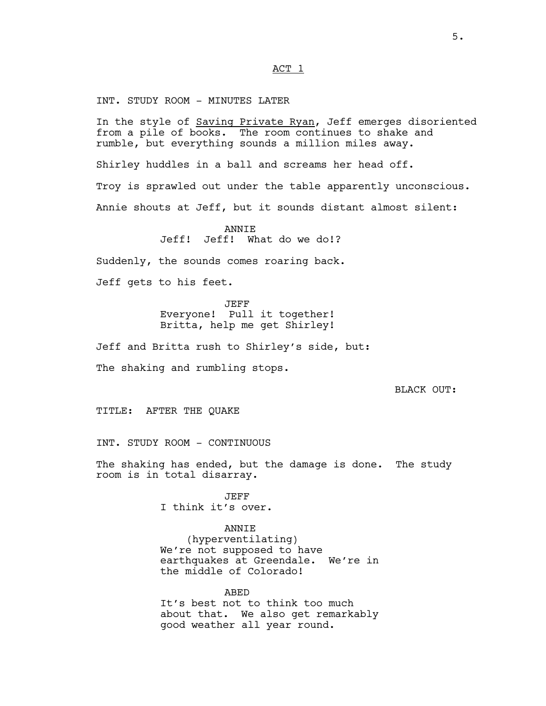#### ACT 1

INT. STUDY ROOM - MINUTES LATER

In the style of Saving Private Ryan, Jeff emerges disoriented from a pile of books. The room continues to shake and rumble, but everything sounds a million miles away. Shirley huddles in a ball and screams her head off. Troy is sprawled out under the table apparently unconscious.

Annie shouts at Jeff, but it sounds distant almost silent:

**ANNTE** Jeff! Jeff! What do we do!?

Suddenly, the sounds comes roaring back.

Jeff gets to his feet.

JEFF Everyone! Pull it together! Britta, help me get Shirley!

Jeff and Britta rush to Shirley's side, but: The shaking and rumbling stops.

BLACK OUT:

TITLE: AFTER THE QUAKE

INT. STUDY ROOM - CONTINUOUS

The shaking has ended, but the damage is done. The study room is in total disarray.

> JEFF I think it's over.

> > ANNIE

(hyperventilating) We're not supposed to have earthquakes at Greendale. We're in the middle of Colorado!

ABED It's best not to think too much about that. We also get remarkably good weather all year round.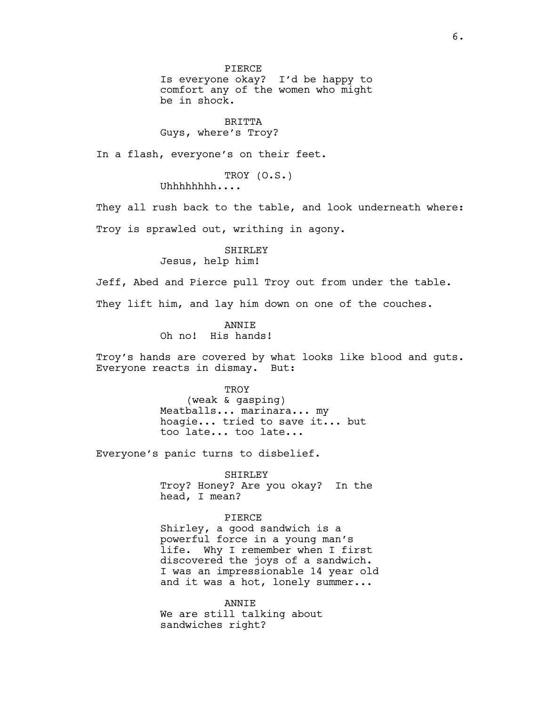PIERCE Is everyone okay? I'd be happy to comfort any of the women who might be in shock.

## BRITTA Guys, where's Troy?

In a flash, everyone's on their feet.

TROY (O.S.)

Uhhhhhhhh....

They all rush back to the table, and look underneath where: Troy is sprawled out, writhing in agony.

> SHIRLEY Jesus, help him!

Jeff, Abed and Pierce pull Troy out from under the table.

They lift him, and lay him down on one of the couches.

ANNIE Oh no! His hands!

Troy's hands are covered by what looks like blood and guts. Everyone reacts in dismay. But:

> TROY (weak & gasping) Meatballs... marinara... my hoagie... tried to save it... but too late... too late...

Everyone's panic turns to disbelief.

SHIRLEY Troy? Honey? Are you okay? In the head, I mean?

PIERCE Shirley, a good sandwich is a powerful force in a young man's life. Why I remember when I first discovered the joys of a sandwich. I was an impressionable 14 year old and it was a hot, lonely summer...

ANNIE We are still talking about sandwiches right?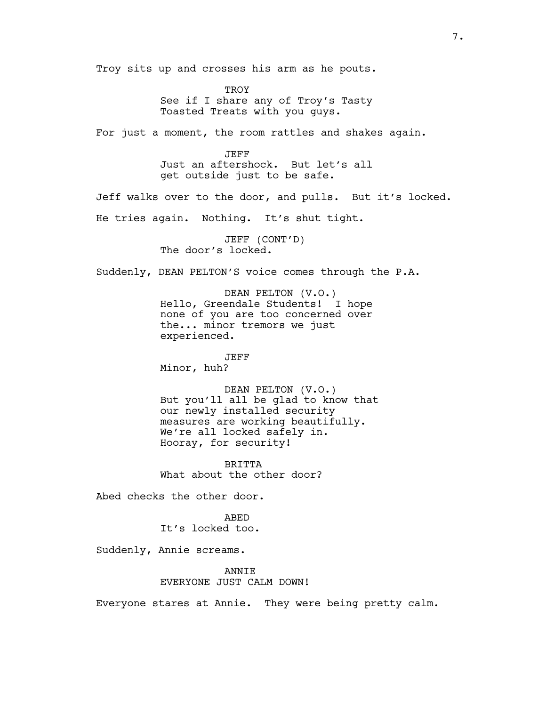Troy sits up and crosses his arm as he pouts. **TROY** See if I share any of Troy's Tasty Toasted Treats with you guys. For just a moment, the room rattles and shakes again. JEFF Just an aftershock. But let's all get outside just to be safe. Jeff walks over to the door, and pulls. But it's locked. He tries again. Nothing. It's shut tight. JEFF (CONT'D) The door's locked. Suddenly, DEAN PELTON'S voice comes through the P.A. DEAN PELTON (V.O.) Hello, Greendale Students! I hope none of you are too concerned over the... minor tremors we just experienced. JEFF Minor, huh? DEAN PELTON (V.O.) But you'll all be glad to know that our newly installed security measures are working beautifully. We're all locked safely in. Hooray, for security! **BRITTA** What about the other door? Abed checks the other door. ABED It's locked too. Suddenly, Annie screams. ANNIE EVERYONE JUST CALM DOWN! Everyone stares at Annie. They were being pretty calm.

7.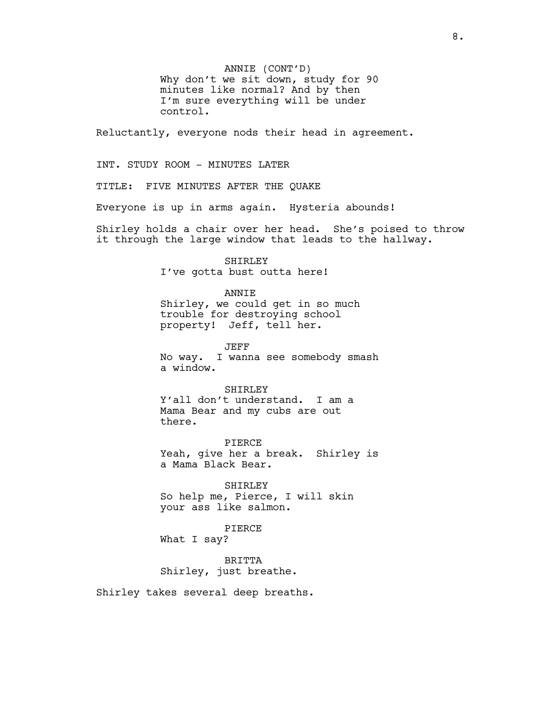ANNIE (CONT'D) Why don't we sit down, study for 90 minutes like normal? And by then I'm sure everything will be under control.

Reluctantly, everyone nods their head in agreement.

INT. STUDY ROOM - MINUTES LATER

TITLE: FIVE MINUTES AFTER THE QUAKE

Everyone is up in arms again. Hysteria abounds!

Shirley holds a chair over her head. She's poised to throw it through the large window that leads to the hallway.

> SHIRLEY I've gotta bust outta here!

#### ANNIE

Shirley, we could get in so much trouble for destroying school property! Jeff, tell her.

JEFF No way. I wanna see somebody smash a window.

**SHIRLEY** 

Y'all don't understand. I am a Mama Bear and my cubs are out there.

PIERCE Yeah, give her a break. Shirley is a Mama Black Bear.

SHIRLEY So help me, Pierce, I will skin your ass like salmon.

### PIERCE

What I say?

BRITTA Shirley, just breathe.

Shirley takes several deep breaths.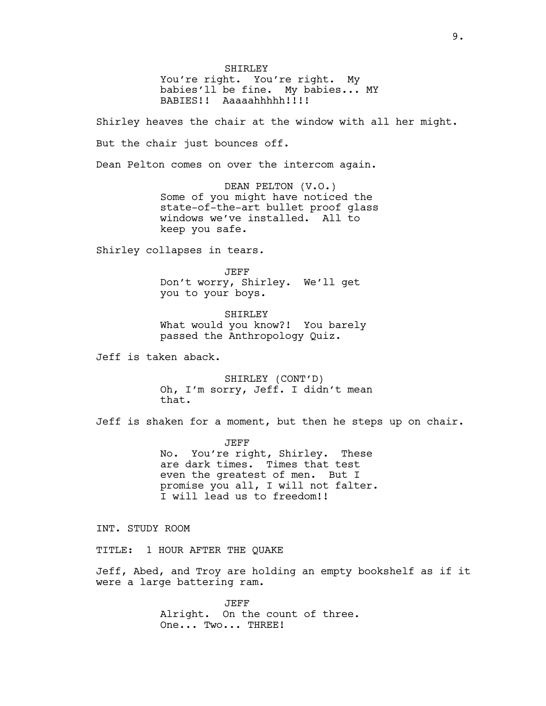SHIRLEY You're right. You're right. My babies'll be fine. My babies... MY BABIES!! Aaaaahhhhh!!!!

Shirley heaves the chair at the window with all her might.

But the chair just bounces off.

Dean Pelton comes on over the intercom again.

DEAN PELTON (V.O.) Some of you might have noticed the state-of-the-art bullet proof glass windows we've installed. All to keep you safe.

Shirley collapses in tears.

JEFF Don't worry, Shirley. We'll get you to your boys.

SHIRLEY What would you know?! You barely passed the Anthropology Quiz.

Jeff is taken aback.

SHIRLEY (CONT'D) Oh, I'm sorry, Jeff. I didn't mean that.

Jeff is shaken for a moment, but then he steps up on chair.

JEFF No. You're right, Shirley. These are dark times. Times that test even the greatest of men. But I promise you all, I will not falter. I will lead us to freedom!!

INT. STUDY ROOM

TITLE: 1 HOUR AFTER THE QUAKE

Jeff, Abed, and Troy are holding an empty bookshelf as if it were a large battering ram.

> JEFF Alright. On the count of three. One... Two... THREE!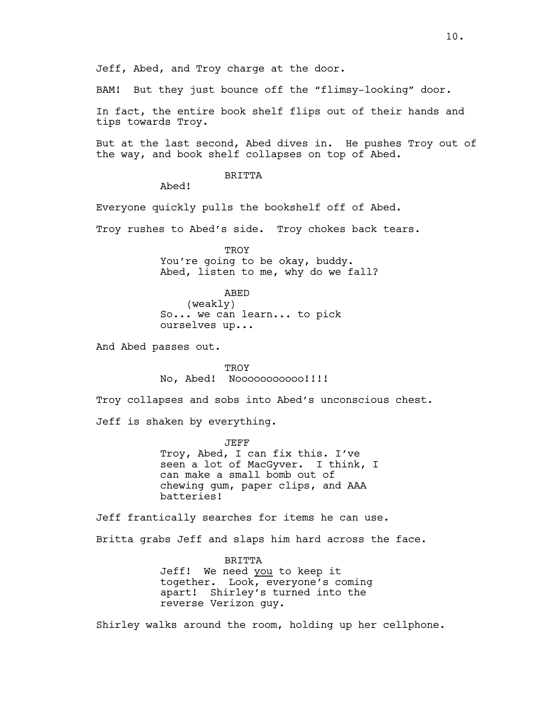Jeff, Abed, and Troy charge at the door.

BAM! But they just bounce off the "flimsy-looking" door.

In fact, the entire book shelf flips out of their hands and tips towards Troy.

But at the last second, Abed dives in. He pushes Troy out of the way, and book shelf collapses on top of Abed.

BRITTA

Abed!

Everyone quickly pulls the bookshelf off of Abed.

Troy rushes to Abed's side. Troy chokes back tears.

**TROY** You're going to be okay, buddy. Abed, listen to me, why do we fall?

ABED (weakly) So... we can learn... to pick ourselves up...

And Abed passes out.

**TROY** No, Abed! Nooooooooooo!!!!

Troy collapses and sobs into Abed's unconscious chest.

Jeff is shaken by everything.

JEFF Troy, Abed, I can fix this. I've seen a lot of MacGyver. I think, I can make a small bomb out of chewing gum, paper clips, and AAA batteries!

Jeff frantically searches for items he can use. Britta grabs Jeff and slaps him hard across the face.

> BRITTA Jeff! We need you to keep it together. Look, everyone's coming apart! Shirley's turned into the reverse Verizon guy.

Shirley walks around the room, holding up her cellphone.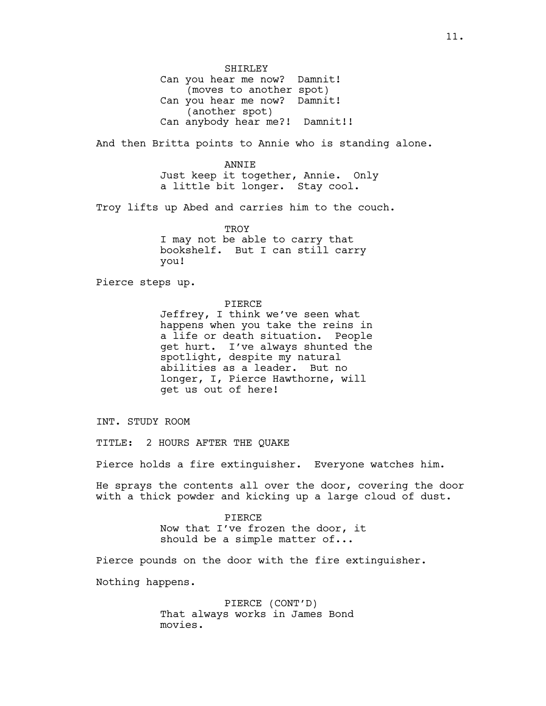SHIRLEY Can you hear me now? Damnit! (moves to another spot) Can you hear me now? Damnit! (another spot) Can anybody hear me?! Damnit!!

And then Britta points to Annie who is standing alone.

ANNIE Just keep it together, Annie. Only a little bit longer. Stay cool.

Troy lifts up Abed and carries him to the couch.

TROY I may not be able to carry that bookshelf. But I can still carry you!

Pierce steps up.

#### PIERCE

Jeffrey, I think we've seen what happens when you take the reins in a life or death situation. People get hurt. I've always shunted the spotlight, despite my natural abilities as a leader. But no longer, I, Pierce Hawthorne, will get us out of here!

INT. STUDY ROOM

TITLE: 2 HOURS AFTER THE QUAKE

Pierce holds a fire extinguisher. Everyone watches him.

He sprays the contents all over the door, covering the door with a thick powder and kicking up a large cloud of dust.

> PIERCE Now that I've frozen the door, it should be a simple matter of...

Pierce pounds on the door with the fire extinguisher.

Nothing happens.

PIERCE (CONT'D) That always works in James Bond movies.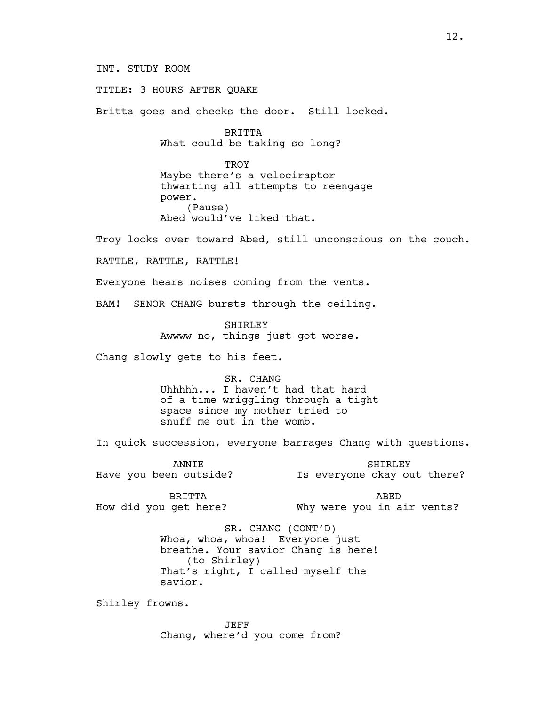INT. STUDY ROOM

TITLE: 3 HOURS AFTER QUAKE

Britta goes and checks the door. Still locked.

BRITTA What could be taking so long?

TROY Maybe there's a velociraptor thwarting all attempts to reengage power. (Pause) Abed would've liked that.

Troy looks over toward Abed, still unconscious on the couch.

RATTLE, RATTLE, RATTLE!

Everyone hears noises coming from the vents.

BAM! SENOR CHANG bursts through the ceiling.

SHIRLEY Awwww no, things just got worse.

Chang slowly gets to his feet.

SR. CHANG Uhhhhh... I haven't had that hard of a time wriggling through a tight space since my mother tried to snuff me out in the womb.

In quick succession, everyone barrages Chang with questions.

**ANNTE** Have you been outside? SHIRLEY Is everyone okay out there?

BRITTA How did you get here?

ABED Why were you in air vents?

SR. CHANG (CONT'D) Whoa, whoa, whoa! Everyone just breathe. Your savior Chang is here! (to Shirley) That's right, I called myself the savior.

Shirley frowns.

JEFF Chang, where'd you come from?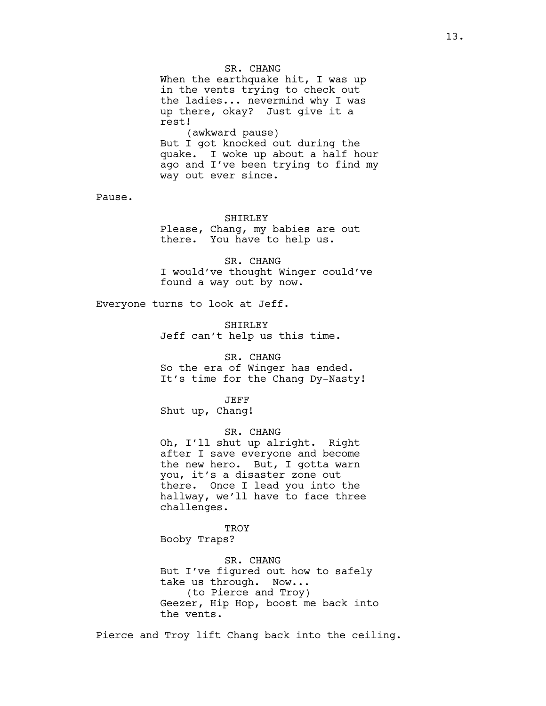SR. CHANG When the earthquake hit, I was up in the vents trying to check out the ladies... nevermind why I was up there, okay? Just give it a rest! (awkward pause) But I got knocked out during the quake. I woke up about a half hour ago and I've been trying to find my way out ever since.

Pause.

#### SHIRLEY

Please, Chang, my babies are out there. You have to help us.

SR. CHANG I would've thought Winger could've found a way out by now.

Everyone turns to look at Jeff.

SHIRLEY Jeff can't help us this time.

SR. CHANG So the era of Winger has ended. It's time for the Chang Dy-Nasty!

JEFF Shut up, Chang!

SR. CHANG

Oh, I'll shut up alright. Right after I save everyone and become the new hero. But, I gotta warn you, it's a disaster zone out there. Once I lead you into the hallway, we'll have to face three challenges.

TROY Booby Traps?

SR. CHANG But I've figured out how to safely take us through. Now... (to Pierce and Troy) Geezer, Hip Hop, boost me back into the vents.

Pierce and Troy lift Chang back into the ceiling.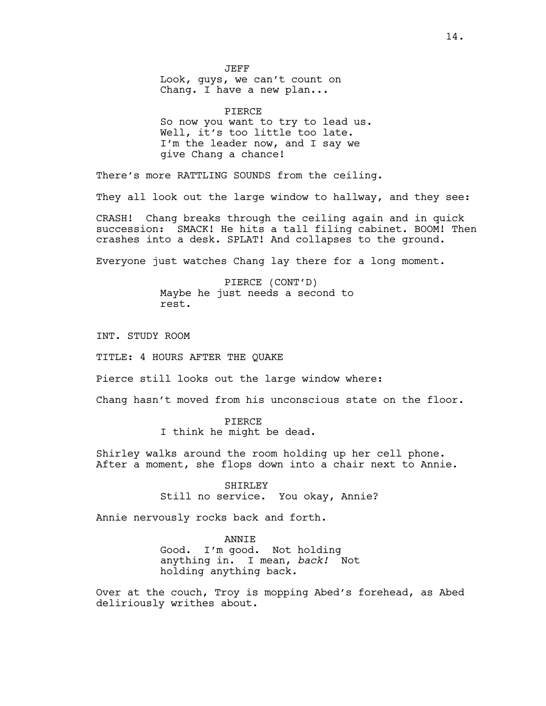JEFF Look, guys, we can't count on Chang. I have a new plan...

PIERCE So now you want to try to lead us. Well, it's too little too late. I'm the leader now, and I say we give Chang a chance!

There's more RATTLING SOUNDS from the ceiling.

They all look out the large window to hallway, and they see:

CRASH! Chang breaks through the ceiling again and in quick succession: SMACK! He hits a tall filing cabinet. BOOM! Then crashes into a desk. SPLAT! And collapses to the ground.

Everyone just watches Chang lay there for a long moment.

PIERCE (CONT'D) Maybe he just needs a second to rest.

INT. STUDY ROOM

TITLE: 4 HOURS AFTER THE QUAKE

Pierce still looks out the large window where:

Chang hasn't moved from his unconscious state on the floor.

#### PIERCE

I think he might be dead.

Shirley walks around the room holding up her cell phone. After a moment, she flops down into a chair next to Annie.

> SHIRLEY Still no service. You okay, Annie?

Annie nervously rocks back and forth.

ANNIE Good. I'm good. Not holding anything in. I mean, *back!* Not holding anything back.

Over at the couch, Troy is mopping Abed's forehead, as Abed deliriously writhes about.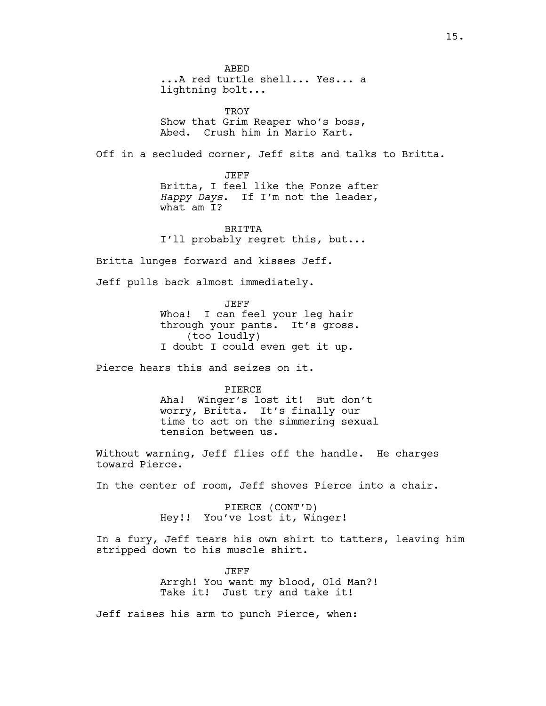ABED ...A red turtle shell... Yes... a lightning bolt... TROY Show that Grim Reaper who's boss, Abed. Crush him in Mario Kart. Off in a secluded corner, Jeff sits and talks to Britta. JEFF Britta, I feel like the Fonze after *Happy Days*. If I'm not the leader, what am I? **BRITTA** I'll probably regret this, but... Britta lunges forward and kisses Jeff. Jeff pulls back almost immediately. JEFF Whoa! I can feel your leg hair through your pants. It's gross. (too loudly) I doubt I could even get it up. Pierce hears this and seizes on it. PIERCE Aha! Winger's lost it! But don't worry, Britta. It's finally our time to act on the simmering sexual tension between us. Without warning, Jeff flies off the handle. He charges toward Pierce. In the center of room, Jeff shoves Pierce into a chair. PIERCE (CONT'D) Hey!! You've lost it, Winger! In a fury, Jeff tears his own shirt to tatters, leaving him stripped down to his muscle shirt. JEFF Arrgh! You want my blood, Old Man?! Take it! Just try and take it!

Jeff raises his arm to punch Pierce, when: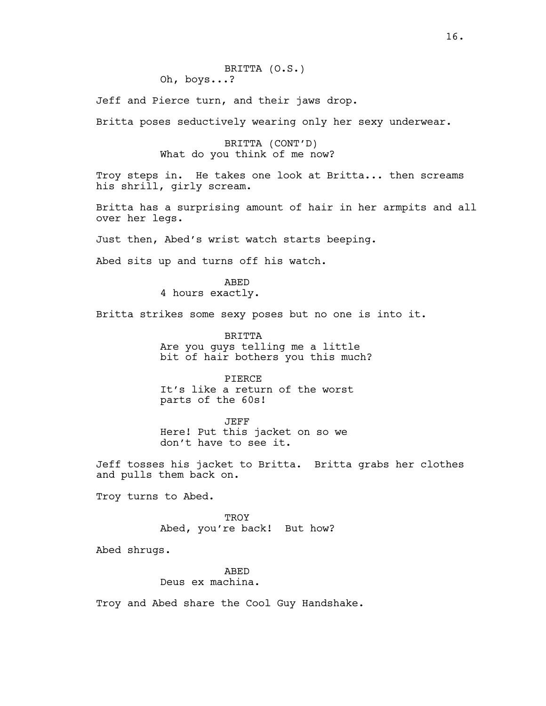Jeff and Pierce turn, and their jaws drop.

Britta poses seductively wearing only her sexy underwear.

## BRITTA (CONT'D) What do you think of me now?

Troy steps in. He takes one look at Britta... then screams his shrill, girly scream.

Britta has a surprising amount of hair in her armpits and all over her legs.

Just then, Abed's wrist watch starts beeping.

Abed sits up and turns off his watch.

ABED 4 hours exactly.

Britta strikes some sexy poses but no one is into it.

BRITTA Are you guys telling me a little bit of hair bothers you this much?

PIERCE It's like a return of the worst parts of the 60s!

JEFF Here! Put this jacket on so we don't have to see it.

Jeff tosses his jacket to Britta. Britta grabs her clothes and pulls them back on.

Troy turns to Abed.

TROY Abed, you're back! But how?

Abed shrugs.

ABED Deus ex machina.

Troy and Abed share the Cool Guy Handshake.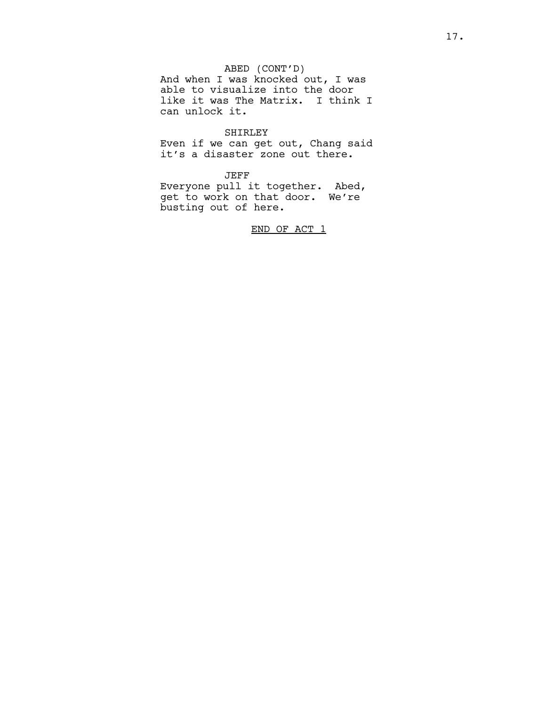# ABED (CONT'D)

And when I was knocked out, I was able to visualize into the door like it was The Matrix. I think I can unlock it.

## SHIRLEY

Even if we can get out, Chang said it's a disaster zone out there.

## JEFF

Everyone pull it together. Abed, get to work on that door. We're busting out of here.

END OF ACT 1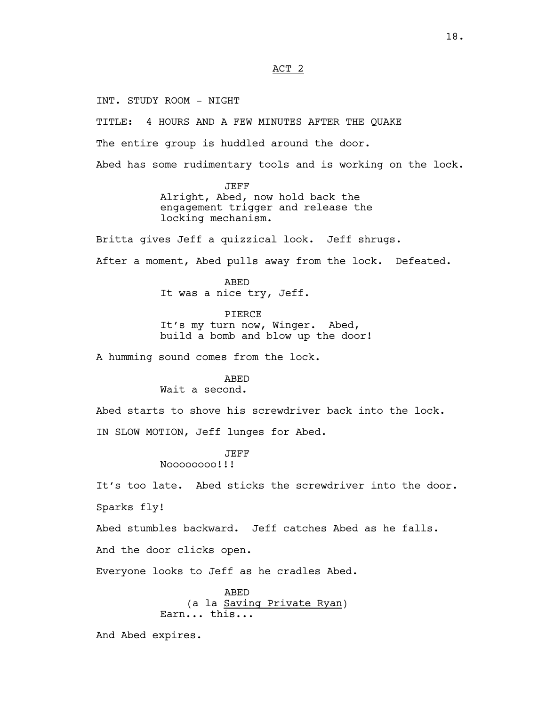ACT 2

INT. STUDY ROOM - NIGHT

TITLE: 4 HOURS AND A FEW MINUTES AFTER THE QUAKE

The entire group is huddled around the door.

Abed has some rudimentary tools and is working on the lock.

JEFF Alright, Abed, now hold back the engagement trigger and release the locking mechanism.

Britta gives Jeff a quizzical look. Jeff shrugs.

After a moment, Abed pulls away from the lock. Defeated.

ABED It was a nice try, Jeff.

PIERCE It's my turn now, Winger. Abed, build a bomb and blow up the door!

A humming sound comes from the lock.

#### ABED

## Wait a second.

Abed starts to shove his screwdriver back into the lock. IN SLOW MOTION, Jeff lunges for Abed.

JEFF

Noooooooo!!!

It's too late. Abed sticks the screwdriver into the door.

Sparks fly!

Abed stumbles backward. Jeff catches Abed as he falls.

And the door clicks open.

Everyone looks to Jeff as he cradles Abed.

ABED (a la Saving Private Ryan) Earn... this...

And Abed expires.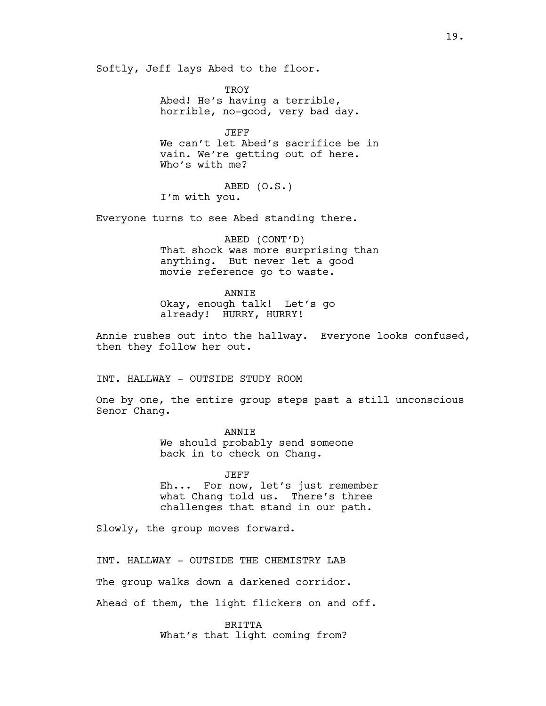Softly, Jeff lays Abed to the floor.

**TROY** Abed! He's having a terrible, horrible, no-good, very bad day.

JEFF We can't let Abed's sacrifice be in vain. We're getting out of here. Who's with me?

ABED (O.S.) I'm with you.

Everyone turns to see Abed standing there.

ABED (CONT'D) That shock was more surprising than anything. But never let a good movie reference go to waste.

ANNIE

Okay, enough talk! Let's go already! HURRY, HURRY!

Annie rushes out into the hallway. Everyone looks confused, then they follow her out.

INT. HALLWAY - OUTSIDE STUDY ROOM

One by one, the entire group steps past a still unconscious Senor Chang.

> ANNIE We should probably send someone back in to check on Chang.

JEFF Eh... For now, let's just remember what Chang told us. There's three challenges that stand in our path.

Slowly, the group moves forward.

INT. HALLWAY - OUTSIDE THE CHEMISTRY LAB

The group walks down a darkened corridor.

Ahead of them, the light flickers on and off.

**BRITTA** What's that light coming from?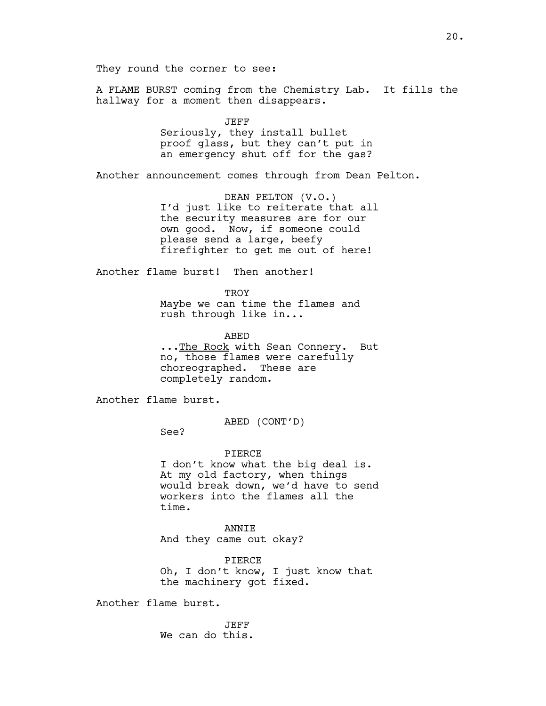They round the corner to see:

A FLAME BURST coming from the Chemistry Lab. It fills the hallway for a moment then disappears.

JEFF

Seriously, they install bullet proof glass, but they can't put in an emergency shut off for the gas?

Another announcement comes through from Dean Pelton.

DEAN PELTON (V.O.) I'd just like to reiterate that all the security measures are for our own good. Now, if someone could please send a large, beefy firefighter to get me out of here!

Another flame burst! Then another!

TROY Maybe we can time the flames and rush through like in...

ABED ...The Rock with Sean Connery. But no, those flames were carefully choreographed. These are completely random.

Another flame burst.

ABED (CONT'D)

See?

PIERCE

I don't know what the big deal is. At my old factory, when things would break down, we'd have to send workers into the flames all the time.

ANNIE And they came out okay?

PIERCE Oh, I don't know, I just know that the machinery got fixed.

Another flame burst.

JEFF We can do this.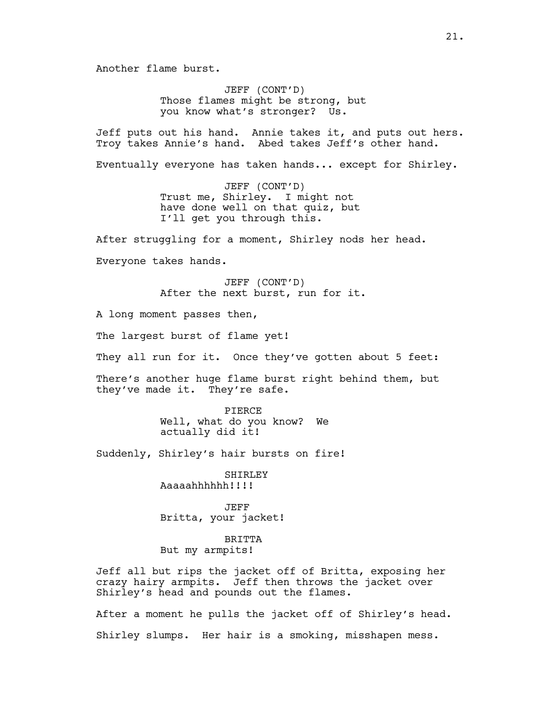Another flame burst.

JEFF (CONT'D) Those flames might be strong, but you know what's stronger? Us.

Jeff puts out his hand. Annie takes it, and puts out hers. Troy takes Annie's hand. Abed takes Jeff's other hand.

Eventually everyone has taken hands... except for Shirley.

JEFF (CONT'D) Trust me, Shirley. I might not have done well on that quiz, but I'll get you through this.

After struggling for a moment, Shirley nods her head.

Everyone takes hands.

JEFF (CONT'D) After the next burst, run for it.

A long moment passes then,

The largest burst of flame yet!

They all run for it. Once they've gotten about 5 feet:

There's another huge flame burst right behind them, but they've made it. They're safe.

> PIERCE Well, what do you know? We actually did it!

Suddenly, Shirley's hair bursts on fire!

SHIRLEY Aaaaahhhhhh!!!!

JEFF Britta, your jacket!

BRITTA But my armpits!

Jeff all but rips the jacket off of Britta, exposing her crazy hairy armpits. Jeff then throws the jacket over Shirley's head and pounds out the flames.

After a moment he pulls the jacket off of Shirley's head. Shirley slumps. Her hair is a smoking, misshapen mess.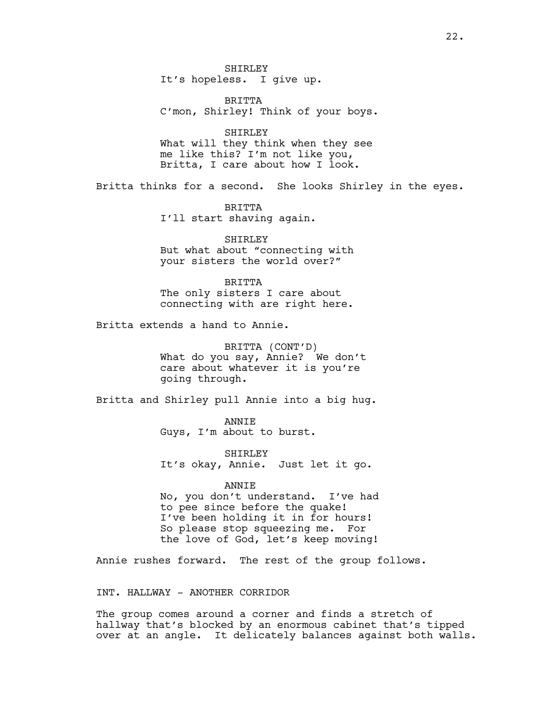SHIRLEY It's hopeless. I give up.

BRITTA C'mon, Shirley! Think of your boys.

SHIRLEY What will they think when they see me like this? I'm not like you, Britta, I care about how I look.

Britta thinks for a second. She looks Shirley in the eyes.

BRITTA I'll start shaving again.

SHIRLEY But what about "connecting with your sisters the world over?"

BRITTA The only sisters I care about connecting with are right here.

Britta extends a hand to Annie.

BRITTA (CONT'D) What do you say, Annie? We don't care about whatever it is you're going through.

Britta and Shirley pull Annie into a big hug.

ANNIE Guys, I'm about to burst.

SHIRLEY It's okay, Annie. Just let it go.

ANNIE

No, you don't understand. I've had to pee since before the quake! I've been holding it in for hours! So please stop squeezing me. For the love of God, let's keep moving!

Annie rushes forward. The rest of the group follows.

INT. HALLWAY - ANOTHER CORRIDOR

The group comes around a corner and finds a stretch of hallway that's blocked by an enormous cabinet that's tipped over at an angle. It delicately balances against both walls.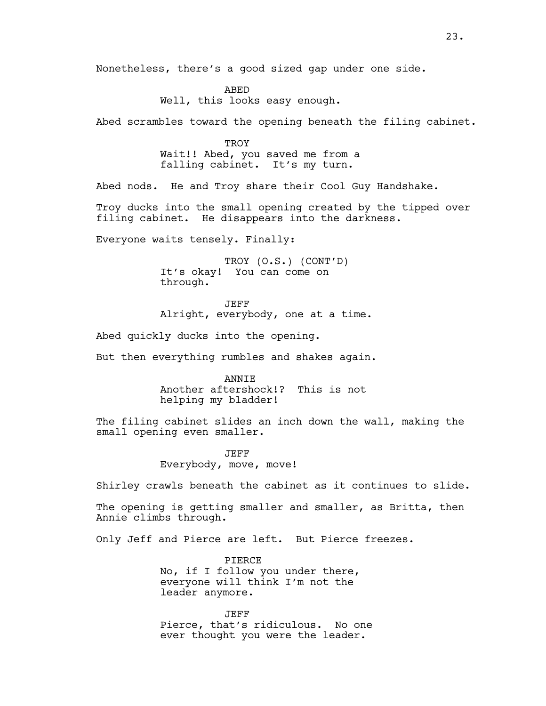Nonetheless, there's a good sized gap under one side.

ABED Well, this looks easy enough.

Abed scrambles toward the opening beneath the filing cabinet.

**TROY** Wait!! Abed, you saved me from a falling cabinet. It's my turn.

Abed nods. He and Troy share their Cool Guy Handshake.

Troy ducks into the small opening created by the tipped over filing cabinet. He disappears into the darkness.

Everyone waits tensely. Finally:

TROY (O.S.) (CONT'D) It's okay! You can come on through.

JEFF Alright, everybody, one at a time.

Abed quickly ducks into the opening.

But then everything rumbles and shakes again.

ANNIE Another aftershock!? This is not helping my bladder!

The filing cabinet slides an inch down the wall, making the small opening even smaller.

> JEFF Everybody, move, move!

Shirley crawls beneath the cabinet as it continues to slide.

The opening is getting smaller and smaller, as Britta, then Annie climbs through.

Only Jeff and Pierce are left. But Pierce freezes.

PIERCE No, if I follow you under there, everyone will think I'm not the leader anymore.

JEFF Pierce, that's ridiculous. No one ever thought you were the leader.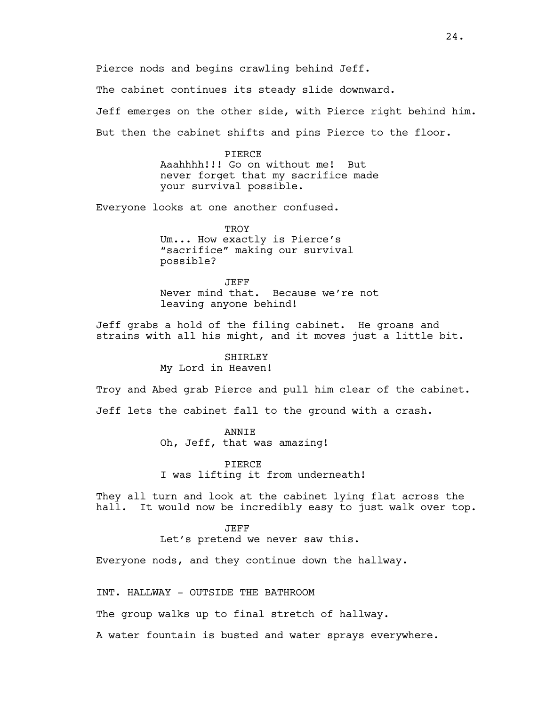Pierce nods and begins crawling behind Jeff.

The cabinet continues its steady slide downward.

Jeff emerges on the other side, with Pierce right behind him.

But then the cabinet shifts and pins Pierce to the floor.

PIERCE Aaahhhh!!! Go on without me! But never forget that my sacrifice made your survival possible.

Everyone looks at one another confused.

TROY Um... How exactly is Pierce's "sacrifice" making our survival possible?

JEFF Never mind that. Because we're not leaving anyone behind!

Jeff grabs a hold of the filing cabinet. He groans and strains with all his might, and it moves just a little bit.

## SHIRLEY

My Lord in Heaven!

Troy and Abed grab Pierce and pull him clear of the cabinet.

Jeff lets the cabinet fall to the ground with a crash.

ANNIE Oh, Jeff, that was amazing!

PIERCE I was lifting it from underneath!

They all turn and look at the cabinet lying flat across the hall. It would now be incredibly easy to just walk over top.

JEFF

Let's pretend we never saw this.

Everyone nods, and they continue down the hallway.

INT. HALLWAY - OUTSIDE THE BATHROOM

The group walks up to final stretch of hallway.

A water fountain is busted and water sprays everywhere.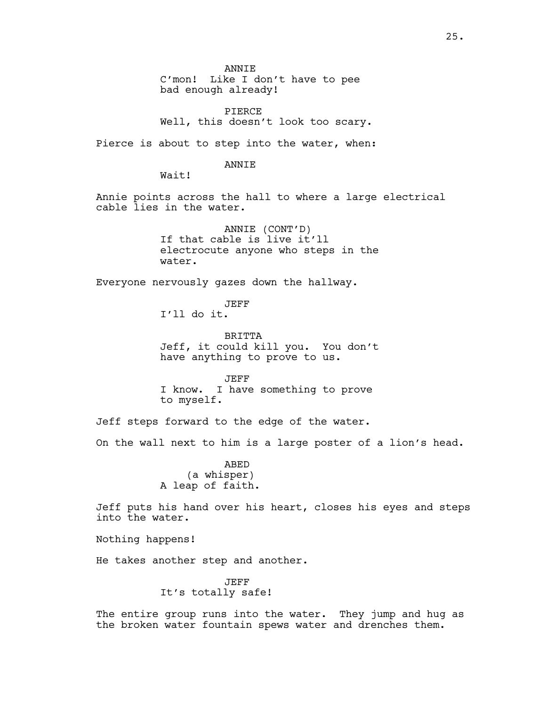ANNIE C'mon! Like I don't have to pee bad enough already!

PIERCE Well, this doesn't look too scary.

Pierce is about to step into the water, when:

ANNIE

Wait!

Annie points across the hall to where a large electrical cable lies in the water.

> ANNIE (CONT'D) If that cable is live it'll electrocute anyone who steps in the water.

Everyone nervously gazes down the hallway.

JEFF I'll do it.

BRITTA Jeff, it could kill you. You don't have anything to prove to us.

JEFF I know. I have something to prove to myself.

Jeff steps forward to the edge of the water.

On the wall next to him is a large poster of a lion's head.

ABED (a whisper) A leap of faith.

Jeff puts his hand over his heart, closes his eyes and steps into the water.

Nothing happens!

He takes another step and another.

JEFF It's totally safe!

The entire group runs into the water. They jump and hug as the broken water fountain spews water and drenches them.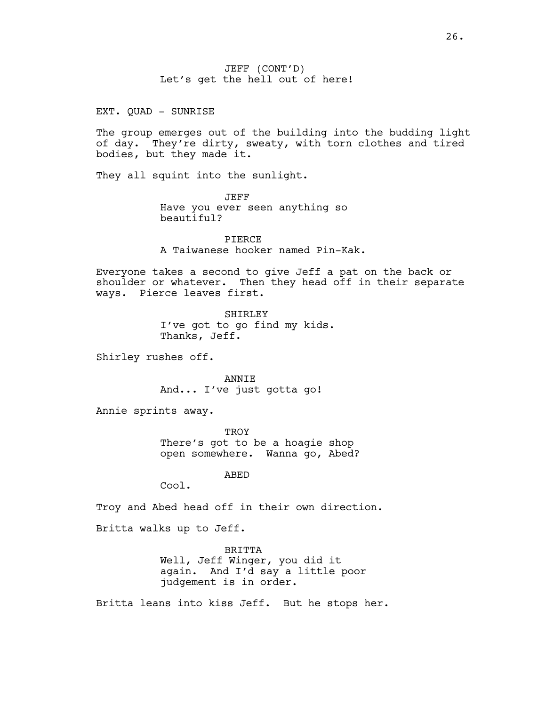JEFF (CONT'D) Let's get the hell out of here!

EXT. QUAD - SUNRISE

The group emerges out of the building into the budding light of day. They're dirty, sweaty, with torn clothes and tired bodies, but they made it.

They all squint into the sunlight.

JEFF Have you ever seen anything so beautiful?

PIERCE A Taiwanese hooker named Pin-Kak.

Everyone takes a second to give Jeff a pat on the back or shoulder or whatever. Then they head off in their separate ways. Pierce leaves first.

> SHIRLEY I've got to go find my kids. Thanks, Jeff.

Shirley rushes off.

ANNIE And... I've just gotta go!

Annie sprints away.

**TROY** There's got to be a hoagie shop open somewhere. Wanna go, Abed?

ABED

Cool.

Troy and Abed head off in their own direction.

Britta walks up to Jeff.

BRITTA Well, Jeff Winger, you did it again. And I'd say a little poor judgement is in order.

Britta leans into kiss Jeff. But he stops her.